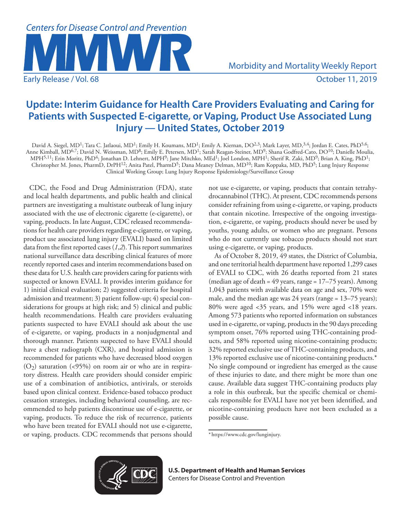

# **Update: Interim Guidance for Health Care Providers Evaluating and Caring for Patients with Suspected E-cigarette, or Vaping, Product Use Associated Lung Injury — United States, October 2019**

David A. Siegel, MD<sup>1</sup>; Tara C. Jatlaoui, MD<sup>1</sup>; Emily H. Koumans, MD<sup>1</sup>; Emily A. Kiernan, DO<sup>2,3</sup>; Mark Layer, MD,<sup>3,4</sup>; Jordan E. Cates, PhD<sup>5,6</sup>; Anne Kimball, MD<sup>6,7</sup>; David N. Weissman, MD<sup>8</sup>; Emily E. Petersen, MD<sup>1</sup>; Sarah Reagan-Steiner, MD<sup>9</sup>; Shana Godfred-Cato, DO<sup>10</sup>; Danielle Moulia, MPH<sup>5,11</sup>; Erin Moritz, PhD<sup>4</sup>; Jonathan D. Lehnert, MPH<sup>9</sup>; Jane Mitchko, MEd<sup>1</sup>; Joel London, MPH<sup>1</sup>; Sherif R. Zaki, MD<sup>9</sup>; Brian A. King, PhD<sup>1</sup>; Christopher M. Jones, PharmD, DrPH<sup>12</sup>; Anita Patel, PharmD<sup>5</sup>; Dana Meaney Delman, MD<sup>10</sup>; Ram Koppaka, MD, PhD<sup>5</sup>; Lung Injury Response Clinical Working Group; Lung Injury Response Epidemiology/Surveillance Group

CDC, the Food and Drug Administration (FDA), state and local health departments, and public health and clinical partners are investigating a multistate outbreak of lung injury associated with the use of electronic cigarette (e-cigarette), or vaping, products. In late August, CDC released recommendations for health care providers regarding e-cigarette, or vaping, product use associated lung injury (EVALI) based on limited data from the first reported cases (*1*,*2*). This report summarizes national surveillance data describing clinical features of more recently reported cases and interim recommendations based on these data for U.S. health care providers caring for patients with suspected or known EVALI. It provides interim guidance for 1) initial clinical evaluation; 2) suggested criteria for hospital admission and treatment; 3) patient follow-up; 4) special considerations for groups at high risk; and 5) clinical and public health recommendations. Health care providers evaluating patients suspected to have EVALI should ask about the use of e-cigarette, or vaping, products in a nonjudgmental and thorough manner. Patients suspected to have EVALI should have a chest radiograph (CXR), and hospital admission is recommended for patients who have decreased blood oxygen  $(O_2)$  saturation (<95%) on room air or who are in respiratory distress. Health care providers should consider empiric use of a combination of antibiotics, antivirals, or steroids based upon clinical context. Evidence-based tobacco product cessation strategies, including behavioral counseling, are recommended to help patients discontinue use of e-cigarette, or vaping, products. To reduce the risk of recurrence, patients who have been treated for EVALI should not use e-cigarette, or vaping, products. CDC recommends that persons should not use e-cigarette, or vaping, products that contain tetrahydrocannabinol (THC). At present, CDC recommends persons consider refraining from using e-cigarette, or vaping, products that contain nicotine. Irrespective of the ongoing investigation, e-cigarette, or vaping, products should never be used by youths, young adults, or women who are pregnant. Persons who do not currently use tobacco products should not start using e-cigarette, or vaping, products.

As of October 8, 2019, 49 states, the District of Columbia, and one territorial health department have reported 1,299 cases of EVALI to CDC, with 26 deaths reported from 21 states (median age of death =  $49$  years, range =  $17-75$  years). Among 1,043 patients with available data on age and sex, 70% were male, and the median age was 24 years (range = 13–75 years); 80% were aged <35 years, and 15% were aged <18 years. Among 573 patients who reported information on substances used in e-cigarette, or vaping, products in the 90 days preceding symptom onset, 76% reported using THC-containing products, and 58% reported using nicotine-containing products; 32% reported exclusive use of THC-containing products, and 13% reported exclusive use of nicotine-containing products.\* No single compound or ingredient has emerged as the cause of these injuries to date, and there might be more than one cause. Available data suggest THC-containing products play a role in this outbreak, but the specific chemical or chemicals responsible for EVALI have not yet been identified, and nicotine-containing products have not been excluded as a possible cause.



**U.S. Department of Health and Human Services** Centers for Disease Control and Prevention

<sup>\*</sup> https://www.cdc.gov/lunginjury.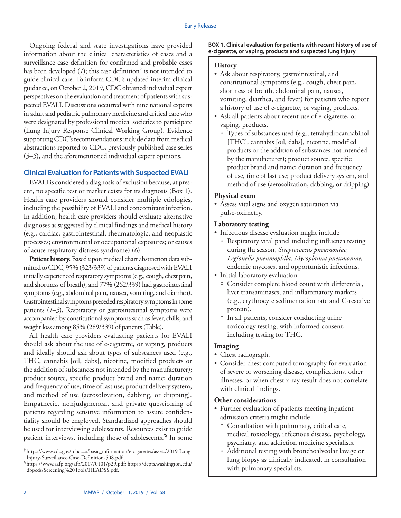Ongoing federal and state investigations have provided information about the clinical characteristics of cases and a surveillance case definition for confirmed and probable cases has been developed  $(1)$ ; this case definition<sup>†</sup> is not intended to guide clinical care. To inform CDC's updated interim clinical guidance, on October 2, 2019, CDC obtained individual expert perspectives on the evaluation and treatment of patients with suspected EVALI. Discussions occurred with nine national experts in adult and pediatric pulmonary medicine and critical care who were designated by professional medical societies to participate (Lung Injury Response Clinical Working Group). Evidence supporting CDC's recommendations include data from medical abstractions reported to CDC, previously published case series (*3*–*5*), and the aforementioned individual expert opinions.

### **Clinical Evaluation for Patients with Suspected EVALI**

EVALI is considered a diagnosis of exclusion because, at present, no specific test or marker exists for its diagnosis (Box 1). Health care providers should consider multiple etiologies, including the possibility of EVALI and concomitant infection. In addition, health care providers should evaluate alternative diagnoses as suggested by clinical findings and medical history (e.g., cardiac, gastrointestinal, rheumatologic, and neoplastic processes; environmental or occupational exposures; or causes of acute respiratory distress syndrome) (*6*).

**Patient history.** Based upon medical chart abstraction data submitted to CDC, 95% (323/339) of patients diagnosed with EVALI initially experienced respiratory symptoms (e.g., cough, chest pain, and shortness of breath), and 77% (262/339) had gastrointestinal symptoms (e.g., abdominal pain, nausea, vomiting, and diarrhea). Gastrointestinal symptoms preceded respiratory symptoms in some patients (*1*–*3*). Respiratory or gastrointestinal symptoms were accompanied by constitutional symptoms such as fever, chills, and weight loss among 85% (289/339) of patients (Table).

All health care providers evaluating patients for EVALI should ask about the use of e-cigarette, or vaping, products and ideally should ask about types of substances used (e.g., THC, cannabis [oil, dabs], nicotine, modified products or the addition of substances not intended by the manufacturer); product source, specific product brand and name; duration and frequency of use, time of last use; product delivery system, and method of use (aerosolization, dabbing, or dripping). Empathetic, nonjudgmental, and private questioning of patients regarding sensitive information to assure confidentiality should be employed. Standardized approaches should be used for interviewing adolescents. Resources exist to guide patient interviews, including those of adolescents.<sup>§</sup> In some

#### **BOX 1. Clinical evaluation for patients with recent history of use of e-cigarette, or vaping, products and suspected lung injury**

#### **History**

- Ask about respiratory, gastrointestinal, and constitutional symptoms (e.g., cough, chest pain, shortness of breath, abdominal pain, nausea, vomiting, diarrhea, and fever) for patients who report a history of use of e-cigarette, or vaping, products.
- Ask all patients about recent use of e-cigarette, or vaping, products.
	- <sup>o</sup> Types of substances used (e.g., tetrahydrocannabinol [THC], cannabis [oil, dabs], nicotine, modified products or the addition of substances not intended by the manufacturer); product source, specific product brand and name; duration and frequency of use, time of last use; product delivery system, and method of use (aerosolization, dabbing, or dripping).

#### **Physical exam**

• Assess vital signs and oxygen saturation via pulse-oximetry.

#### **Laboratory testing**

- Infectious disease evaluation might include
	- $\circ$  Respiratory viral panel including influenza testing during flu season, *Streptococcus pneumoniae, Legionella pneumophila, Mycoplasma pneumoniae,*  endemic mycoses, and opportunistic infections.
- Initial laboratory evaluation
	- <sup>o</sup> Consider complete blood count with differential, liver transaminases, and inflammatory markers (e.g., erythrocyte sedimentation rate and C-reactive protein).
	- <sup>o</sup> In all patients, consider conducting urine toxicology testing, with informed consent, including testing for THC.

#### **Imaging**

- Chest radiograph.
- Consider chest computed tomography for evaluation of severe or worsening disease, complications, other illnesses, or when chest x-ray result does not correlate with clinical findings.

#### **Other considerations**

- Further evaluation of patients meeting inpatient admission criteria might include
	- <sup>o</sup> Consultation with pulmonary, critical care, medical toxicology, infectious disease, psychology, psychiatry, and addiction medicine specialists.
	- <sup>o</sup> Additional testing with bronchoalveolar lavage or lung biopsy as clinically indicated, in consultation with pulmonary specialists.

<sup>†</sup> [https://www.cdc.gov/tobacco/basic\\_information/e-cigarettes/assets/2019-Lung-](https://www.cdc.gov/tobacco/basic_information/e-cigarettes/assets/2019-Lung-Injury-Surveillance-Case-Definition-508.pdf)

 $\delta$ [https://www.aafp.org/afp/2017/0101/p29.pdf; https://depts.washington.edu/](https://depts.washington.edu/dbpeds/Screening%20Tools/HEADSS.pdf) [dbpeds/Screening%20Tools/HEADSS.pdf.](https://depts.washington.edu/dbpeds/Screening%20Tools/HEADSS.pdf)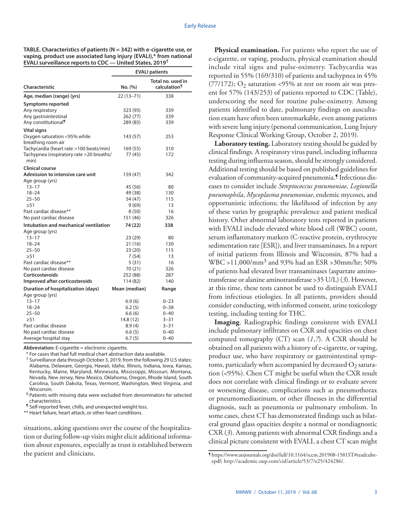**TABLE. Characteristics of patients (N = 342) with e-cigarette use, or vaping, product use associated lung injury (EVALI),\* from national EVALI surveillance reports to CDC — United States, 2019†**

| Characteristic                                    | <b>EVALI patients</b> |                                               |
|---------------------------------------------------|-----------------------|-----------------------------------------------|
|                                                   | No. (%)               | Total no. used in<br>calculation <sup>§</sup> |
| Age, median (range) (yrs)                         | 22 (13-71)            | 338                                           |
| Symptoms reported                                 |                       |                                               |
| Any respiratory                                   | 323 (95)              | 339                                           |
| Any gastrointestinal                              | 262(77)               | 339                                           |
| Any constitutional <sup>¶</sup>                   | 289 (85)              | 339                                           |
| <b>Vital signs</b>                                |                       |                                               |
| Oxygen saturation <95% while                      | 143 (57)              | 253                                           |
| breathing room air                                |                       |                                               |
| Tachycardia (heart rate >100 beats/min)           | 169 (55)              | 310                                           |
| Tachypnea (respiratory rate >20 breaths/          | 77 (45)               | 172                                           |
| min)                                              |                       |                                               |
| <b>Clinical course</b>                            |                       |                                               |
| Admission to intensive care unit                  | 159 (47)              | 342                                           |
| Age group (yrs)                                   |                       |                                               |
| $13 - 17$                                         | 45 (56)               | 80                                            |
| $18 - 24$                                         | 49 (38)               | 130                                           |
| $25 - 50$                                         | 54 (47)               | 115                                           |
| > 51                                              | 9 (69)                | 13                                            |
| Past cardiac disease**<br>No past cardiac disease | 8 (50)                | 16<br>326                                     |
|                                                   | 151 (46)              |                                               |
| Intubation and mechanical ventilation             | 74 (22)               | 338                                           |
| Age group (yrs)                                   |                       |                                               |
| $13 - 17$                                         | 23 (29)               | 80                                            |
| $18 - 24$<br>$25 - 50$                            | 21 (16)<br>23(20)     | 130<br>115                                    |
| > 51                                              | 7 (54)                | 13                                            |
| Past cardiac disease**                            | 5 (31)                | 16                                            |
| No past cardiac disease                           | 70 (21)               | 326                                           |
| Corticosteroids                                   | 252 (88)              | 287                                           |
| Improved after corticosteroids                    | 114 (82)              | 140                                           |
| Duration of hospitalization (days)                | Mean (median)         | Range                                         |
| Age group (yrs)                                   |                       |                                               |
| $13 - 17$                                         | 6.9(6)                | $0 - 23$                                      |
| $18 - 24$                                         | 6.2(5)                | $0 - 38$                                      |
| $25 - 50$                                         | 6.6(6)                | $0 - 40$                                      |
| > 51                                              | 14.8 (12)             | $3 - 31$                                      |
| Past cardiac disease                              | 8.9 (4)               | $3 - 31$                                      |
| No past cardiac disease                           | 6.6(5)                | $0 - 40$                                      |
| Average hospital stay                             | 6.7(5)                | $0 - 40$                                      |

**Abbreviation:** E-cigarette = electronic cigarette.

\* For cases that had full medical chart abstraction data available.

† Surveillance data through October 3, 2019, from the following 29 U.S states: Alabama, Delaware, Georgia, Hawaii, Idaho, Illinois, Indiana, Iowa, Kansas, Kentucky, Maine, Maryland, Minnesota, Mississippi, Missouri, Montana, Nevada, New Jersey, New Mexico, Oklahoma, Oregon, Rhode Island, South Carolina, South Dakota, Texas, Vermont, Washington, West Virginia, and Wisconsin.

§ Patients with missing data were excluded from denominators for selected characteristics.

¶ Self-reported fever, chills, and unexpected weight loss.

\*\* Heart failure, heart attack, or other heart conditions.

situations, asking questions over the course of the hospitalization or during follow-up visits might elicit additional information about exposures, especially as trust is established between the patient and clinicians.

**Physical examination.** For patients who report the use of e-cigarette, or vaping, products, physical examination should include vital signs and pulse-oximetry. Tachycardia was reported in 55% (169/310) of patients and tachypnea in 45% (77/172);  $O_2$  saturation <95% at rest on room air was present for 57% (143/253) of patients reported to CDC (Table), underscoring the need for routine pulse-oximetry. Among patients identified to date, pulmonary findings on auscultation exam have often been unremarkable, even among patients with severe lung injury (personal communication, Lung Injury Response Clinical Working Group, October 2, 2019).

**Laboratory testing.** Laboratory testing should be guided by clinical findings. A respiratory virus panel, including influenza testing during influenza season, should be strongly considered. Additional testing should be based on published guidelines for evaluation of community-acquired pneumonia.<sup>9</sup> Infectious diseases to consider include *Streptococcus pneumoniae, Legionella pneumophila, Mycoplasma pneumoniae*, endemic mycoses, and opportunistic infections; the likelihood of infection by any of these varies by geographic prevalence and patient medical history. Other abnormal laboratory tests reported in patients with EVALI include elevated white blood cell (WBC) count, serum inflammatory markers (C-reactive protein, erythrocyte sedimentation rate [ESR]), and liver transaminases. In a report of initial patients from Illinois and Wisconsin, 87% had a  $WBC > 11,000/mm^3$  and 93% had an ESR > 30mm/hr; 50% of patients had elevated liver transaminases (aspartate aminotransferase or alanine aminotransferase >35 U/L) (*3*). However, at this time, these tests cannot be used to distinguish EVALI from infectious etiologies. In all patients, providers should consider conducting, with informed consent, urine toxicology testing, including testing for THC.

**Imaging**. Radiographic findings consistent with EVALI include pulmonary infiltrates on CXR and opacities on chest computed tomography (CT) scan (*1*,*7*). A CXR should be obtained on all patients with a history of e-cigarette, or vaping, product use, who have respiratory or gastrointestinal symptoms, particularly when accompanied by decreased  $O_2$  saturation (<95%). Chest CT might be useful when the CXR result does not correlate with clinical findings or to evaluate severe or worsening disease, complications such as pneumothorax or pneumomediastinum, or other illnesses in the differential diagnosis, such as pneumonia or pulmonary embolism. In some cases, chest CT has demonstrated findings such as bilateral ground glass opacities despite a normal or nondiagnostic CXR (*3*). Among patients with abnormal CXR findings and a clinical picture consistent with EVALI, a chest CT scan might

<sup>¶</sup> https://www.atsjournals.org/doi/full/10.1164/rccm.201908-1581ST#readcubeepdf; http://academic.oup.com/cid/article/53/7/e25/424286/.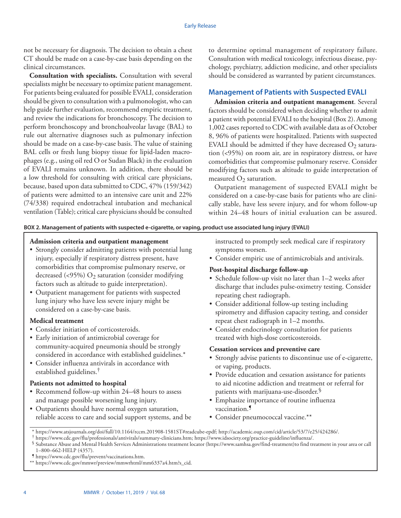not be necessary for diagnosis. The decision to obtain a chest CT should be made on a case-by-case basis depending on the clinical circumstances.

**Consultation with specialists.** Consultation with several specialists might be necessary to optimize patient management. For patients being evaluated for possible EVALI, consideration should be given to consultation with a pulmonologist, who can help guide further evaluation, recommend empiric treatment, and review the indications for bronchoscopy. The decision to perform bronchoscopy and bronchoalveolar lavage (BAL) to rule out alternative diagnoses such as pulmonary infection should be made on a case-by-case basis. The value of staining BAL cells or fresh lung biopsy tissue for lipid-laden macrophages (e.g., using oil red O or Sudan Black) in the evaluation of EVALI remains unknown. In addition, there should be a low threshold for consulting with critical care physicians, because, based upon data submitted to CDC, 47% (159/342) of patients were admitted to an intensive care unit and 22% (74/338) required endotracheal intubation and mechanical ventilation (Table); critical care physicians should be consulted

to determine optimal management of respiratory failure. Consultation with medical toxicology, infectious disease, psychology, psychiatry, addiction medicine, and other specialists should be considered as warranted by patient circumstances.

# **Management of Patients with Suspected EVALI**

**Admission criteria and outpatient management**. Several factors should be considered when deciding whether to admit a patient with potential EVALI to the hospital (Box 2). Among 1,002 cases reported to CDC with available data as of October 8, 96% of patients were hospitalized. Patients with suspected EVALI should be admitted if they have decreased  $O_2$  saturation (<95%) on room air, are in respiratory distress, or have comorbidities that compromise pulmonary reserve. Consider modifying factors such as altitude to guide interpretation of measured  $O_2$  saturation.

Outpatient management of suspected EVALI might be considered on a case-by-case basis for patients who are clinically stable, have less severe injury, and for whom follow-up within 24–48 hours of initial evaluation can be assured.

**BOX 2. Management of patients with suspected e-cigarette, or vaping, product use associated lung injury (EVALI)**

# **Admission criteria and outpatient management**

- Strongly consider admitting patients with potential lung injury, especially if respiratory distress present, have comorbidities that compromise pulmonary reserve, or decreased (<95%)  $O_2$  saturation (consider modifying factors such as altitude to guide interpretation).
- Outpatient management for patients with suspected lung injury who have less severe injury might be considered on a case-by-case basis.

#### **Medical treatment**

- Consider initiation of corticosteroids.
- Early initiation of antimicrobial coverage for community-acquired pneumonia should be strongly considered in accordance with established guidelines.\*
- Consider influenza antivirals in accordance with established guidelines.†

# **Patients not admitted to hospital**

- Recommend follow-up within 24–48 hours to assess and manage possible worsening lung injury.
- Outpatients should have normal oxygen saturation, reliable access to care and social support systems, and be

instructed to promptly seek medical care if respiratory symptoms worsen.

• Consider empiric use of antimicrobials and antivirals.

# **Post-hospital discharge follow-up**

- Schedule follow-up visit no later than 1–2 weeks after discharge that includes pulse-oximetry testing. Consider repeating chest radiograph.
- Consider additional follow-up testing including spirometry and diffusion capacity testing, and consider repeat chest radiograph in 1–2 months.
- Consider endocrinology consultation for patients treated with high-dose corticosteroids.

# **Cessation services and preventive care**

- Strongly advise patients to discontinue use of e-cigarette, or vaping, products.
- Provide education and cessation assistance for patients to aid nicotine addiction and treatment or referral for patients with marijuana-use-disorder.§
- Emphasize importance of routine influenza vaccination.¶
- Consider pneumococcal vaccine.\*\*

<sup>\*</sup> https://www.atsjournals.org/doi/full/10.1164/rccm.201908-1581ST#readcube-epdf; http://academic.oup.com/cid/article/53/7/e25/424286/.

<sup>†</sup> https://www.cdc.gov/flu/professionals/antivirals/summary-clinicians.htm; https://www.idsociety.org/practice-guideline/influenza/.

<sup>§</sup> Substance Abuse and Mental Health Services Administrations treatment locator (https://www.samhsa.gov/find-treatment)to find treatment in your area or call 1–800–662-HELP (4357).

<sup>¶</sup> https://www.cdc.gov/flu/prevent/vaccinations.htm.

<sup>\*\*</sup> https://www.cdc.gov/mmwr/preview/mmwrhtml/mm6337a4.htm?s\_cid.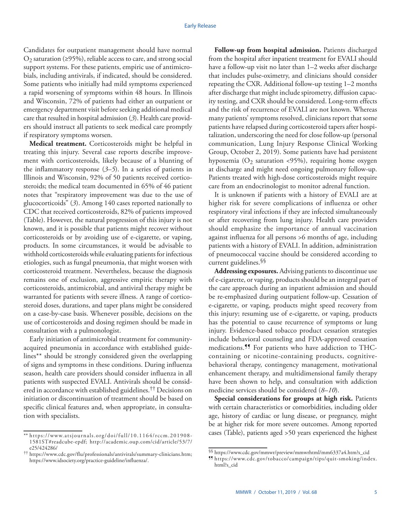Candidates for outpatient management should have normal  $O_2$  saturation (≥95%), reliable access to care, and strong social support systems. For these patients, empiric use of antimicrobials, including antivirals, if indicated, should be considered. Some patients who initially had mild symptoms experienced a rapid worsening of symptoms within 48 hours. In Illinois and Wisconsin, 72% of patients had either an outpatient or emergency department visit before seeking additional medical care that resulted in hospital admission (*3*). Health care providers should instruct all patients to seek medical care promptly if respiratory symptoms worsen.

**Medical treatment.** Corticosteroids might be helpful in treating this injury. Several case reports describe improvement with corticosteroids, likely because of a blunting of the inflammatory response (*3*–*5*). In a series of patients in Illinois and Wisconsin, 92% of 50 patients received corticosteroids; the medical team documented in 65% of 46 patient notes that "respiratory improvement was due to the use of glucocorticoids" (*3*). Among 140 cases reported nationally to CDC that received corticosteroids, 82% of patients improved (Table). However, the natural progression of this injury is not known, and it is possible that patients might recover without corticosteroids or by avoiding use of e-cigarette, or vaping, products. In some circumstances, it would be advisable to withhold corticosteroids while evaluating patients for infectious etiologies, such as fungal pneumonia, that might worsen with corticosteroid treatment. Nevertheless, because the diagnosis remains one of exclusion, aggressive empiric therapy with corticosteroids, antimicrobial, and antiviral therapy might be warranted for patients with severe illness. A range of corticosteroid doses, durations, and taper plans might be considered on a case-by-case basis. Whenever possible, decisions on the use of corticosteroids and dosing regimen should be made in consultation with a pulmonologist.

Early initiation of antimicrobial treatment for communityacquired pneumonia in accordance with established guidelines\*\* should be strongly considered given the overlapping of signs and symptoms in these conditions. During influenza season, health care providers should consider influenza in all patients with suspected EVALI. Antivirals should be considered in accordance with established guidelines.†† Decisions on initiation or discontinuation of treatment should be based on specific clinical features and, when appropriate, in consultation with specialists.

**Follow-up from hospital admission.** Patients discharged from the hospital after inpatient treatment for EVALI should have a follow-up visit no later than 1–2 weeks after discharge that includes pulse-oximetry, and clinicians should consider repeating the CXR. Additional follow-up testing 1–2 months after discharge that might include spirometry, diffusion capacity testing, and CXR should be considered. Long-term effects and the risk of recurrence of EVALI are not known. Whereas many patients' symptoms resolved, clinicians report that some patients have relapsed during corticosteroid tapers after hospitalization, underscoring the need for close follow-up (personal communication, Lung Injury Response Clinical Working Group, October 2, 2019). Some patients have had persistent hypoxemia ( $O_2$  saturation <95%), requiring home oxygen at discharge and might need ongoing pulmonary follow-up. Patients treated with high-dose corticosteroids might require care from an endocrinologist to monitor adrenal function.

It is unknown if patients with a history of EVALI are at higher risk for severe complications of influenza or other respiratory viral infections if they are infected simultaneously or after recovering from lung injury. Health care providers should emphasize the importance of annual vaccination against influenza for all persons >6 months of age, including patients with a history of EVALI. In addition, administration of pneumococcal vaccine should be considered according to current guidelines.§§

**Addressing exposures.** Advising patients to discontinue use of e-cigarette, or vaping, products should be an integral part of the care approach during an inpatient admission and should be re-emphasized during outpatient follow-up. Cessation of e-cigarette, or vaping, products might speed recovery from this injury; resuming use of e-cigarette, or vaping, products has the potential to cause recurrence of symptoms or lung injury. Evidence-based tobacco product cessation strategies include behavioral counseling and FDA-approved cessation medications.¶¶ For patients who have addiction to THCcontaining or nicotine-containing products, cognitivebehavioral therapy, contingency management, motivational enhancement therapy, and multidimensional family therapy have been shown to help, and consultation with addiction medicine services should be considered (*8*–*10*).

**Special considerations for groups at high risk.** Patients with certain characteristics or comorbidities, including older age, history of cardiac or lung disease, or pregnancy, might be at higher risk for more severe outcomes. Among reported cases (Table), patients aged >50 years experienced the highest

<sup>\*\*</sup> [https://www.atsjournals.org/doi/full/10.1164/rccm.201908-](https://www.atsjournals.org/doi/full/10.1164/rccm.201908-1581ST#readcube-epdf) [1581ST#readcube-epdf;](https://www.atsjournals.org/doi/full/10.1164/rccm.201908-1581ST#readcube-epdf) [http://academic.oup.com/cid/article/53/7/](http://academic.oup.com/cid/article/53/7/e25/424286/) [e25/424286/](http://academic.oup.com/cid/article/53/7/e25/424286/)

<sup>††</sup> <https://www.cdc.gov/flu/professionals/antivirals/summary-clinicians.htm>; <https://www.idsociety.org/practice-guideline/influenza/>.

<sup>§§</sup> [https://www.cdc.gov/mmwr/preview/mmwrhtml/mm6337a4.htm?s\\_cid](https://www.cdc.gov/mmwr/preview/mmwrhtml/mm6337a4.htm?s_cid)

<sup>¶¶</sup> [https://www.cdc.gov/tobacco/campaign/tips/quit-smoking/index.](https://www.cdc.gov/tobacco/campaign/tips/quit-smoking/index.html?s_cid) [html?s\\_cid](https://www.cdc.gov/tobacco/campaign/tips/quit-smoking/index.html?s_cid)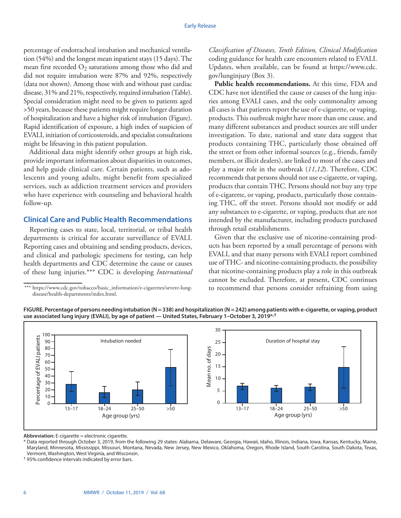percentage of endotracheal intubation and mechanical ventilation (54%) and the longest mean inpatient stays (15 days). The mean first recorded  $O_2$  saturations among those who did and did not require intubation were 87% and 92%, respectively (data not shown). Among those with and without past cardiac disease, 31% and 21%, respectively, required intubation (Table). Special consideration might need to be given to patients aged >50 years, because these patients might require longer duration of hospitalization and have a higher risk of intubation (Figure). Rapid identification of exposure, a high index of suspicion of EVALI, initiation of corticosteroids, and specialist consultations might be lifesaving in this patient population.

Additional data might identify other groups at high risk, provide important information about disparities in outcomes, and help guide clinical care. Certain patients, such as adolescents and young adults, might benefit from specialized services, such as addiction treatment services and providers who have experience with counseling and behavioral health follow-up.

### **Clinical Care and Public Health Recommendations**

Reporting cases to state, local, territorial, or tribal health departments is critical for accurate surveillance of EVALI. Reporting cases and obtaining and sending products, devices, and clinical and pathologic specimens for testing, can help health departments and CDC determine the cause or causes of these lung injuries.\*\*\* CDC is developing *International*  *Classification of Diseases, Tenth Edition, Clinical Modification* coding guidance for health care encounters related to EVALI. Updates, when available, can be found at [https://www.cdc.](https://www.cdc.gov/lunginjury) [gov/lunginjury](https://www.cdc.gov/lunginjury) (Box 3).

**Public health recommendations.** At this time, FDA and CDC have not identified the cause or causes of the lung injuries among EVALI cases, and the only commonality among all cases is that patients report the use of e-cigarette, or vaping, products. This outbreak might have more than one cause, and many different substances and product sources are still under investigation. To date, national and state data suggest that products containing THC, particularly those obtained off the street or from other informal sources (e.g., friends, family members, or illicit dealers), are linked to most of the cases and play a major role in the outbreak (*11*,*12*). Therefore, CDC recommends that persons should not use e-cigarette, or vaping, products that contain THC. Persons should not buy any type of e-cigarette, or vaping, products, particularly those containing THC, off the street. Persons should not modify or add any substances to e-cigarette, or vaping, products that are not intended by the manufacturer, including products purchased through retail establishments.

Given that the exclusive use of nicotine-containing products has been reported by a small percentage of persons with EVALI, and that many persons with EVALI report combined use of THC- and nicotine-containing products, the possibility that nicotine-containing products play a role in this outbreak cannot be excluded. Therefore, at present, CDC continues to recommend that persons consider refraining from using

Age group (yrs)



**FIGURE. Percentage of persons needing intubation (N = 338) and hospitalization (N = 242) among patients with e-cigarette, or vaping, product use associated lung injury (EVALI), by age of patient — United States, February 1–October 3, 2019\*,†**

**Abbreviation:** E-cigarette = electronic cigarette.

 $\Omega$ 

Percentageof EV

\* Data reported through October 3, 2019, from the following 29 states: Alabama, Delaware, Georgia, Hawaii, Idaho, Illinois, Indiana, Iowa, Kansas, Kentucky, Maine, Maryland, Minnesota, Mississippi, Missouri, Montana, Nevada, New Jersey, New Mexico, Oklahoma, Oregon, Rhode Island, South Carolina, South Dakota, Texas, Vermont, Washington, West Virginia, and Wisconsin.

13–17 18–24 25–50 >50 13–17 18–24 25–50 >50

† 95% confidence intervals indicated by error bars.

Age group (yrs)

<sup>\*\*\*</sup> https://www.cdc.gov/tobacco/basic\_information/e-cigarettes/severe-lungdisease/health-departments/index.html.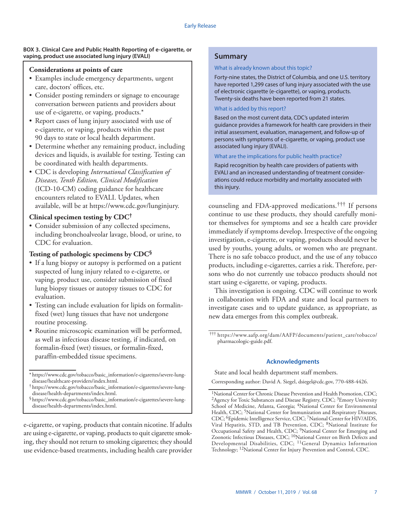#### **BOX 3. Clinical Care and Public Health Reporting of e-cigarette, or vaping, product use associated lung injury (EVALI)**

### **Considerations at points of care**

- Examples include emergency departments, urgent care, doctors' offices, etc.
- Consider posting reminders or signage to encourage conversation between patients and providers about use of e-cigarette, or vaping, products.\*
- Report cases of lung injury associated with use of e-cigarette, or vaping, products within the past 90 days to state or local health department.
- Determine whether any remaining product, including devices and liquids, is available for testing. Testing can be coordinated with health departments.
- CDC is developing *International Classification of Diseases, Tenth Edition, Clinical Modification* (ICD-10-CM) coding guidance for healthcare encounters related to EVALI. Updates, when available, will be at https://www.cdc.gov/lunginjury.

# **Clinical specimen testing by CDC†**

• Consider submission of any collected specimens, including bronchoalveolar lavage, blood, or urine, to CDC for evaluation.

# **Testing of pathologic specimens by CDC§**

- If a lung biopsy or autopsy is performed on a patient suspected of lung injury related to e-cigarette, or vaping, product use, consider submission of fixed lung biopsy tissues or autopsy tissues to CDC for evaluation.
- Testing can include evaluation for lipids on formalinfixed (wet) lung tissues that have not undergone routine processing.
- Routine microscopic examination will be performed, as well as infectious disease testing, if indicated, on formalin-fixed (wet) tissues, or formalin-fixed, paraffin-embedded tissue specimens.

§https://www.cdc.gov/tobacco/basic\_information/e-cigarettes/severe-lungdisease/health-departments/index.html.

e-cigarette, or vaping, products that contain nicotine. If adults are using e-cigarette, or vaping, products to quit cigarette smoking, they should not return to smoking cigarettes; they should use evidence-based treatments, including health care provider

# **Summary**

#### What is already known about this topic?

Forty-nine states, the District of Columbia, and one U.S. territory have reported 1,299 cases of lung injury associated with the use of electronic cigarette (e-cigarette), or vaping, products. Twenty-six deaths have been reported from 21 states.

#### What is added by this report?

Based on the most current data, CDC's updated interim guidance provides a framework for health care providers in their initial assessment, evaluation, management, and follow-up of persons with symptoms of e-cigarette, or vaping, product use associated lung injury (EVALI).

#### What are the implications for public health practice?

Rapid recognition by health care providers of patients with EVALI and an increased understanding of treatment considerations could reduce morbidity and mortality associated with this injury.

counseling and FDA-approved medications.††† If persons continue to use these products, they should carefully monitor themselves for symptoms and see a health care provider immediately if symptoms develop. Irrespective of the ongoing investigation, e-cigarette, or vaping, products should never be used by youths, young adults, or women who are pregnant. There is no safe tobacco product, and the use of any tobacco products, including e-cigarettes, carries a risk. Therefore, persons who do not currently use tobacco products should not start using e-cigarette, or vaping, products.

This investigation is ongoing. CDC will continue to work in collaboration with FDA and state and local partners to investigate cases and to update guidance, as appropriate, as new data emerges from this complex outbreak.

#### **Acknowledgments**

State and local health department staff members.

Corresponding author: David A. Siegel, [dsiegel@cdc.gov](mailto:dsiegel@cdc.gov), 770-488-4426.

<sup>\*</sup> https://www.cdc.gov/tobacco/basic\_information/e-cigarettes/severe-lungdisease/healthcare-providers/index.html.

<sup>†</sup> https://www.cdc.gov/tobacco/basic\_information/e-cigarettes/severe-lungdisease/health-departments/index.html.

<sup>†††</sup> [https://www.aafp.org/dam/AAFP/documents/patient\\_care/tobacco/](https://www.aafp.org/dam/AAFP/documents/patient_care/tobacco/pharmacologic-guide.pdf) [pharmacologic-guide.pdf](https://www.aafp.org/dam/AAFP/documents/patient_care/tobacco/pharmacologic-guide.pdf).

<sup>&</sup>lt;sup>1</sup>National Center for Chronic Disease Prevention and Health Promotion, CDC; <sup>2</sup>Agency for Toxic Substances and Disease Registry, CDC; <sup>3</sup>Emory University School of Medicine, Atlanta, Georgia; <sup>4</sup>National Center for Environmental Health, CDC; <sup>5</sup>National Center for Immunization and Respiratory Diseases, CDC; 6Epidemic Intelligence Service, CDC; 7National Center for HIV/AIDS, Viral Hepatitis, STD, and TB Prevention, CDC; 8National Institute for Occupational Safety and Health, CDC; 9National Center for Emerging and Zoonotic Infectious Diseases, CDC; <sup>10</sup>National Center on Birth Defects and Developmental Disabilities, CDC; 11General Dynamics Information Technology; 12National Center for Injury Prevention and Control, CDC.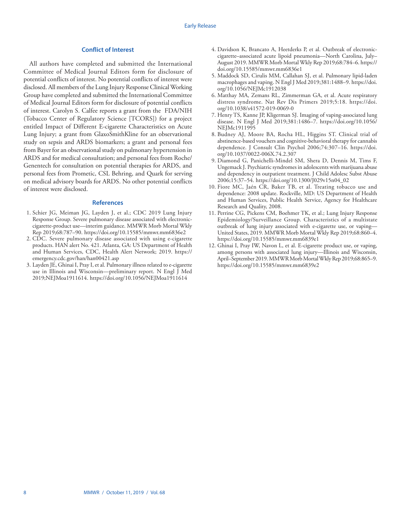#### **Conflict of Interest**

All authors have completed and submitted the International Committee of Medical Journal Editors form for disclosure of potential conflicts of interest. No potential conflicts of interest were disclosed. All members of the Lung Injury Response Clinical Working Group have completed and submitted the International Committee of Medical Journal Editors form for disclosure of potential conflicts of interest. Carolyn S. Calfee reports a grant from the FDA/NIH (Tobacco Center of Regulatory Science [TCORS]) for a project entitled Impact of Different E-cigarette Characteristics on Acute Lung Injury; a grant from GlaxoSmithKline for an observational study on sepsis and ARDS biomarkers; a grant and personal fees from Bayer for an observational study on pulmonary hypertension in ARDS and for medical consultation; and personal fees from Roche/ Genentech for consultation on potential therapies for ARDS, and personal fees from Prometic, CSL Behring, and Quark for serving on medical advisory boards for ARDS. No other potential conflicts of interest were disclosed.

#### **References**

- 1. Schier JG, Meiman JG, Layden J, et al.; CDC 2019 Lung Injury Response Group. Severe pulmonary disease associated with electroniccigarette-product use—interim guidance. MMWR Morb Mortal Wkly Rep 2019;68:787–90. <https://doi.org/10.15585/mmwr.mm6836e2>
- 2. CDC. Severe pulmonary disease associated with using e-cigarette products. HAN alert No. 421. Atlanta, GA: US Department of Health and Human Services, CDC, Health Alert Network; 2019. [https://](https://emergency.cdc.gov/han/han00421.asp) [emergency.cdc.gov/han/han00421.asp](https://emergency.cdc.gov/han/han00421.asp)
- 3. Layden JE, Ghinai I, Pray I, et al. Pulmonary illness related to e-cigarette use in Illinois and Wisconsin—preliminary report. N Engl J Med 2019;NEJMoa1911614.<https://doi.org/10.1056/NEJMoa1911614>
- 4. Davidson K, Brancato A, Heetderks P, et al. Outbreak of electroniccigarette–associated acute lipoid pneumonia—North Carolina, July– August 2019. MMWR Morb Mortal Wkly Rep 2019;68:784–6. [https://](https://doi.org/10.15585/mmwr.mm6836e1) [doi.org/10.15585/mmwr.mm6836e1](https://doi.org/10.15585/mmwr.mm6836e1)
- 5. Maddock SD, Cirulis MM, Callahan SJ, et al. Pulmonary lipid-laden macrophages and vaping. N Engl J Med 2019;381:1488–9. [https://doi.](https://doi.org/10.1056/NEJMc1912038) [org/10.1056/NEJMc1912038](https://doi.org/10.1056/NEJMc1912038)
- 6. Matthay MA, Zemans RL, Zimmerman GA, et al. Acute respiratory distress syndrome. Nat Rev Dis Primers 2019;5:18. [https://doi.](https://doi.org/10.1038/s41572-019-0069-0) [org/10.1038/s41572-019-0069-0](https://doi.org/10.1038/s41572-019-0069-0)
- 7. Henry TS, Kanne JP, Kligerman SJ. Imaging of vaping-associated lung disease. N Engl J Med 2019;381:1486–7. [https://doi.org/10.1056/](https://doi.org/10.1056/NEJMc1911995) [NEJMc1911995](https://doi.org/10.1056/NEJMc1911995)
- 8. Budney AJ, Moore BA, Rocha HL, Higgins ST. Clinical trial of abstinence-based vouchers and cognitive-behavioral therapy for cannabis dependence. J Consult Clin Psychol 2006;74:307–16. [https://doi.](https://doi.org/10.1037/0022-006X.74.2.307) [org/10.1037/0022-006X.74.2.307](https://doi.org/10.1037/0022-006X.74.2.307)
- 9. Diamond G, Panichelli-Mindel SM, Shera D, Dennis M, Tims F, Ungemack J. Psychiatric syndromes in adolescents with marijuana abuse and dependency in outpatient treatment. J Child Adolesc Subst Abuse 2006;15:37–54. [https://doi.org/10.1300/J029v15n04\\_02](https://doi.org/10.1300/J029v15n04_02)
- 10. Fiore MC, Jaén CR, Baker TB, et al. Treating tobacco use and dependence: 2008 update. Rockville, MD: US Department of Health and Human Services, Public Health Service, Agency for Healthcare Research and Quality, 2008.
- 11. Perrine CG, Pickens CM, Boehmer TK, et al.; Lung Injury Response Epidemiology/Surveillance Group. Characteristics of a multistate outbreak of lung injury associated with e-cigarette use, or vaping— United States, 2019. MMWR Morb Mortal Wkly Rep 2019;68:860–4. <https://doi.org/10.15585/mmwr.mm6839e1>
- 12. Ghinai I, Pray IW, Navon L, et al. E-cigarette product use, or vaping, among persons with associated lung injury—Illinois and Wisconsin, April–September 2019. MMWR Morb Mortal Wkly Rep 2019;68:865–9. <https://doi.org/10.15585/mmwr.mm6839e2>